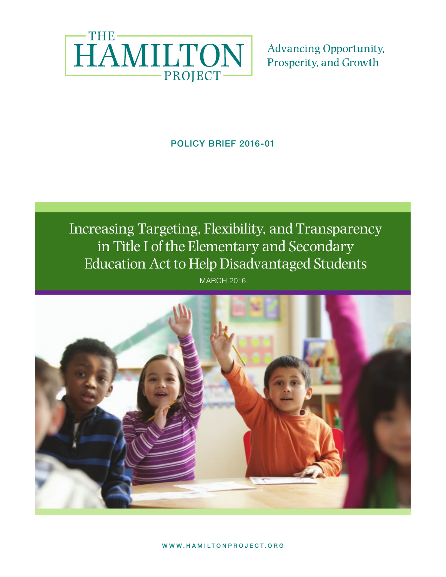

**Advancing Opportunity,** Prosperity, and Growth

POLICY BRIEF 2016-01

**POLICY BRITTEN BRITTEN BRITTEN BRITTEN BRITTEN BRITTEN BRITTEN BRITTEN BRITTEN BRITTEN BRITTEN BRITTEN BRITTEN** Increasing Targeting, Flexibility, and Transparency in Title I of the Elementary and Secondary Education Act to Help Disadvantaged Students

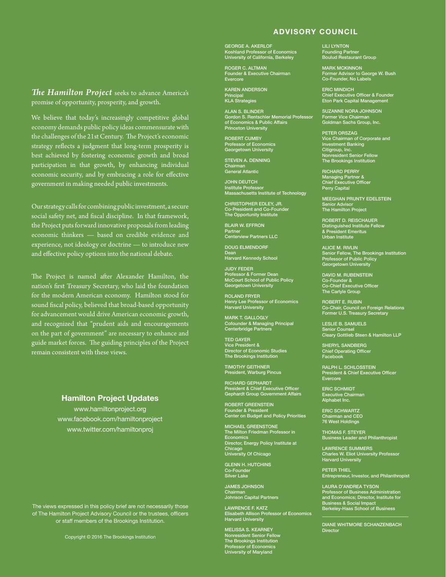### ADVISORY COUNCIL

*The Hamilton Project* seeks to advance America's promise of opportunity, prosperity, and growth.

We believe that today's increasingly competitive global economy demands public policy ideas commensurate with the challenges of the 21st Century. The Project's economic strategy reflects a judgment that long-term prosperity is best achieved by fostering economic growth and broad participation in that growth, by enhancing individual economic security, and by embracing a role for effective government in making needed public investments.

Our strategy calls for combining public investment, a secure social safety net, and fiscal discipline. In that framework, the Project puts forward innovative proposals from leading economic thinkers — based on credible evidence and experience, not ideology or doctrine — to introduce new and effective policy options into the national debate.

The Project is named after Alexander Hamilton, the nation's first Treasury Secretary, who laid the foundation for the modern American economy. Hamilton stood for sound fiscal policy, believed that broad-based opportunity for advancement would drive American economic growth, and recognized that "prudent aids and encouragements on the part of government" are necessary to enhance and guide market forces. The guiding principles of the Project remain consistent with these views.

#### Hamilton Project Updates

www.hamiltonproject.org www.facebook.com/hamiltonproject www.twitter.com/hamiltonproj

The views expressed in this policy brief are not necessarily those The views expressed in this policy brief are not necessarily those of The Hamilton Project Advisory Council or the trustees, officers of The Hamilton Project Advisory Council or the trustees, officers or staff members of the Brookings Institution. or staff members of the Brookings Institution.

Copyright © 2011 The Brookings Institution Copyright © 2016 The Brookings Institution

GEORGE A. AKERLOF Koshland Professor of Economics University of California, Berkeley

ROGER C. ALTMAN Founder & Executive Chairman Evercore

KAREN ANDERSON Principal KLA Strategies

ALAN S. BLINDER Gordon S. Rentschler Memorial Professor of Economics & Public Affairs Princeton University

ROBERT CUMBY Professor of Economics Georgetown University

STEVEN A. DENNING Chairman General Atlantic

JOHN DEUTCH Institute Professor Massachusetts Institute of Technology

CHRISTOPHER EDLEY, JR. Co-President and Co-Founder The Opportunity Institute

BLAIR W. EFFRON Partner Centerview Partners LLC

DOUG ELMENDORF Dean Harvard Kennedy School

JUDY FEDER Professor & Former Dean McCourt School of Public Policy Georgetown University

ROLAND FRYER Henry Lee Professor of Economics Harvard University

MARK T. GALLOGLY Cofounder & Managing Principal Centerbridge Partners

TED GAYER Vice President & Director of Economic Studies The Brookings Institution

TIMOTHY GEITHNER President, Warburg Pincus

RICHARD GEPHARDT President & Chief Executive Officer Gephardt Group Government Affairs

ROBERT GREENSTEIN Founder & President Center on Budget and Policy Priorities

MICHAEL GREENSTONE The Milton Friedman Professor in Econom Director, Energy Policy Institute at Chicago University Of Chicago

GLENN H. HUTCHINS Co-Founder Silver Lake

JAMES JOHNSON Chairman Johnson Capital Partners

LAWRENCE F. KATZ Elisabeth Allison Professor of Economics Harvard University

MELISSA S. KEARNEY Nonresident Senior Fellow The Brookings Institution Professor of Economics University of Maryland LILI LYNTON Founding Partner Boulud Restaurant Group

MARK MCKINNON Former Advisor to George W. Bush Co-Founder, No Labels

ERIC MINDICH Chief Executive Officer & Founder Eton Park Capital Management

SUZANNE NORA JOHNSON Former Vice Chairman Goldman Sachs Group, Inc.

PETER ORSZAG Vice Chairman of Corporate and Investment Banking Citigroup, Inc. Nonresident Senior Fellow The Brookings Institution

RICHARD PERRY Managing Partner & Chief Executive Officer Perry Capital

MEEGHAN PRUNTY EDELSTEIN Senior Advisor The Hamilton Project

ROBERT D. REISCHAUER Distinguished Institute Fellow & President Emeritus Urban Institute

ALICE M. RIVLIN Senior Fellow, The Brookings Institution Professor of Public Policy Georgetown University

DAVID M. RUBENSTEIN Co-Founder & Co-Chief Executive Officer The Carlyle Group

ROBERT E. RUBIN Co-Chair, Council on Foreign Relations Former U.S. Treasury Secretary

LESLIE B. SAMUELS Senior Counsel Cleary Gottlieb Steen & Hamilton LLP

SHERYL SANDBERG Chief Operating Officer Facebook

RALPH L. SCHLOSSTEIN President & Chief Executive Officer Evercore

ERIC SCHMIDT Executive Chairman Alphabet Inc.

ERIC SCHWARTZ Chairman and CEO 76 West Holdings

THOMAS F. STEYER Business Leader and Philanthropist

LAWRENCE SUMMERS<br>Charles W. Eliot University Professor<br>Harvard University

PETER THIEL Entrepreneur, Investor, and Philanthropist

LAURA D'ANDREA TYSON Professor of Business Administration and Economics; Director, Institute for Business & Social Impact Berkeley-Haas School of Business

DIANE WHITMORE SCHANZENBACH **Director**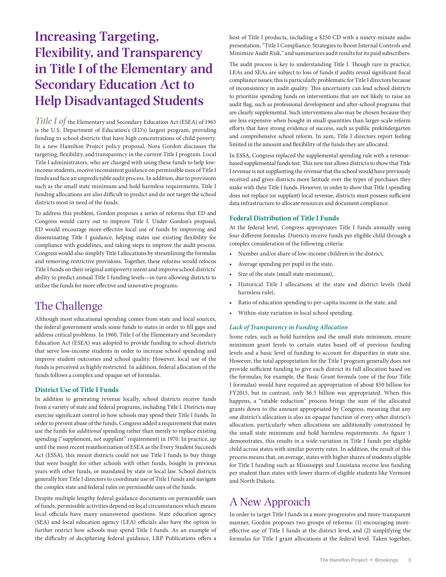# **Increasing Targeting, Flexibility, and Transparency in Title I of the Elementary and Secondary Education Act to Help Disadvantaged Students**

*Title I of* the Elementary and Secondary Education Act (ESEA) of 1965 is the U.S. Department of Education's (ED's) largest program, providing funding to school districts that have high concentrations of child poverty. In a new Hamilton Project policy proposal, Nora Gordon discusses the targeting, flexibility, and transparency in the current Title I program. Local Title I administrators, who are charged with using these funds to help lowincome students, receive inconsistent guidance on permissible uses of Title I funds and face an unpredictable audit process. In addition, due to provisions such as the small state minimum and hold harmless requirements, Title I funding allocations are also difficult to predict and do not target the school districts most in need of the funds.

To address this problem, Gordon proposes a series of reforms that ED and Congress would carry out to improve Title I. Under Gordon's proposal, ED would encourage more-effective local use of funds by improving and disseminating Title I guidance, helping states use existing flexibility for compliance with guidelines, and taking steps to improve the audit process. Congress would also simplify Title I allocations by streamlining the formulas and removing restrictive provisions. Together, these reforms would refocus Title I funds on their original antipoverty intent and improve school districts' ability to predict annual Title I funding levels—in turn allowing districts to utilize the funds for more effective and innovative programs.

## The Challenge

Although most educational spending comes from state and local sources, the federal government sends some funds to states in order to fill gaps and address critical problems. In 1960, Title I of the Elementary and Secondary Education Act (ESEA) was adopted to provide funding to school districts that serve low-income students in order to increase school spending and improve student outcomes and school quality. However, local use of the funds is perceived as highly restricted. In addition, federal allocation of the funds follows a complex and opaque set of formulas.

#### **District Use of Title I Funds**

In addition to generating revenue locally, school districts receive funds from a variety of state and federal programs, including Title I. Districts may exercise significant control in how schools may spend their Title I funds. In order to prevent abuse of the funds, Congress added a requirement that states use the funds for *additional* spending rather than merely to replace existing spending ("supplement, not supplant" requirement) in 1970. In practice, up until the most recent reauthorization of ESEA as the Every Student Succeeds Act (ESSA), this meant districts could not use Title I funds to buy things that were bought for other schools with other funds, bought in previous years with other funds, or mandated by state or local law. School districts generally hire Title I directors to coordinate use of Title I funds and navigate the complex state and federal rules on permissible uses of the funds.

Despite multiple lengthy federal guidance documents on permissible uses of funds, permissible activities depend on local circumstances which means local officials have many unanswered questions. State education agency (SEA) and local education agency (LEA) officials also have the option to further restrict how schools may spend Title I funds. As an example of the difficulty of deciphering federal guidance, LRP Publications offers a host of Title I products, including a \$250 CD with a ninety-minute audio presentation, "Title I Compliance: Strategies to Boost Internal Controls and Minimize Audit Risk," and summarizes audit results for its paid subscribers.

The audit process is key to understanding Title I. Though rare in practice, LEAs and SEAs are subject to loss of funds if audits reveal significant fiscal compliance issues; this is particularly problematic for Title I directors because of inconsistency in audit quality. This uncertainty can lead school districts to prioritize spending funds on interventions that are not likely to raise an audit flag, such as professional development and after-school programs that are clearly supplemental. Such interventions also may be chosen because they are less expensive when bought in small quantities than larger-scale reform efforts that have strong evidence of success, such as public prekindergarten and comprehensive school reform. In sum, Title I directors report feeling limited in the amount and flexibility of the funds they are allocated.

In ESSA, Congress replaced the supplemental spending rule with a revenuebased supplemental funds test. This new test allows districts to show that Title I revenue is not supplanting the revenue that the school would have previously received and gives districts more latitude over the types of purchases they make with their Title I funds. However, in order to show that Title I spending does not replace (or supplant) local revenue, districts must possess sufficient data infrastructure to allocate resources and document compliance.

#### **Federal Distribution of Title I Funds**

At the federal level, Congress appropriates Title I funds annually using four different formulas. Districts receive funds per eligible child through a complex consideration of the following criteria:

- Number and/or share of low-income children in the district,
- Average spending per pupil in the state,
- Size of the state (small state minimum),
- Historical Title I allocations at the state and district levels (hold harmless rule),
- Ratio of education spending to per-capita income in the state, and
- Within-state variation in local school spending.

#### *Lack of Transparency in Funding Allocation*

Some rules, such as hold harmless and the small state minimum, ensure minimum grant levels to certain states based off of previous funding levels and a basic level of funding to account for disparities in state size. However, the total appropriation for the Title I program generally does not provide sufficient funding to give each district its full allocation based on the formulas; for example, the Basic Grant formula (one of the four Title I formulas) would have required an appropriation of about \$50 billion for FY2015, but in contrast, only \$6.5 billion was appropriated. When this happens, a "ratable reduction" process brings the sum of the allocated grants down to the amount appropriated by Congress, meaning that any one district's allocation is also an opaque function of every other district's allocation, particularly when allocations are additionally constrained by the small state minimum and hold harmless requirements. As figure 1 demonstrates, this results in a wide variation in Title I funds per eligible child across states with similar poverty rates. In addition, the result of this process means that, on average, states with higher shares of students eligible for Title I funding such as Mississippi and Louisiana receive less funding per student than states with lower shares of eligible students like Vermont and North Dakota.

# A New Approach

In order to target Title I funds in a more-progressive and more-transparent manner, Gordon proposes two groups of reforms: (1) encouraging moreeffective use of Title I funds at the district level, and (2) simplifying the formulas for Title I grant allocations at the federal level. Taken together,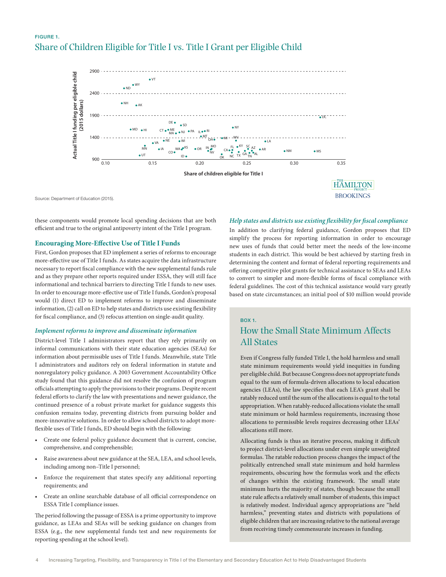## FIGURE 1. Share of Children Eligible for Title I vs. Title I Grant per Eligible Child



Source: Department of Education (2015).

these components would promote local spending decisions that are both efficient and true to the original antipoverty intent of the Title I program.

#### **Encouraging More-Effective Use of Title I Funds**

First, Gordon proposes that ED implement a series of reforms to encourage more-effective use of Title I funds. As states acquire the data infrastructure necessary to report fiscal compliance with the new supplemental funds rule and as they prepare other reports required under ESSA, they will still face informational and technical barriers to directing Title I funds to new uses. In order to encourage more-effective use of Title I funds, Gordon's proposal would (1) direct ED to implement reforms to improve and disseminate information, (2) call on ED to help states and districts use existing flexibility for fiscal compliance, and (3) refocus attention on single-audit quality.

#### *Implement reforms to improve and disseminate information*

District-level Title I administrators report that they rely primarily on informal communications with their state education agencies (SEAs) for information about permissible uses of Title I funds. Meanwhile, state Title I administrators and auditors rely on federal information in statute and nonregulatory policy guidance. A 2003 Government Accountability Office study found that this guidance did not resolve the confusion of program officials attempting to apply the provisions to their programs. Despite recent federal efforts to clarify the law with presentations and newer guidance, the continued presence of a robust private market for guidance suggests this confusion remains today, preventing districts from pursuing bolder and more-innovative solutions. In order to allow school districts to adopt moreflexible uses of Title I funds, ED should begin with the following:

- Create one federal policy guidance document that is current, concise, comprehensive, and comprehensible;
- Raise awareness about new guidance at the SEA, LEA, and school levels, including among non–Title I personnel;
- Enforce the requirement that states specify any additional reporting requirements; and
- Create an online searchable database of all official correspondence on ESSA Title I compliance issues.

The period following the passage of ESSA is a prime opportunity to improve guidance, as LEAs and SEAs will be seeking guidance on changes from ESSA (e.g., the new supplemental funds test and new requirements for reporting spending at the school level).

#### *Help states and districts use existing flexibility for fiscal compliance*

In addition to clarifying federal guidance, Gordon proposes that ED simplify the process for reporting information in order to encourage new uses of funds that could better meet the needs of the low-income students in each district. This would be best achieved by starting fresh in determining the content and format of federal reporting requirements and offering competitive pilot grants for technical assistance to SEAs and LEAs to convert to simpler and more-flexible forms of fiscal compliance with federal guidelines. The cost of this technical assistance would vary greatly based on state circumstances; an initial pool of \$10 million would provide

#### BOX 1.

# How the Small State Minimum Affects All States

Even if Congress fully funded Title I, the hold harmless and small state minimum requirements would yield inequities in funding per eligible child. But because Congress does not appropriate funds equal to the sum of formula-driven allocations to local education agencies (LEAs), the law specifies that each LEA's grant shall be ratably reduced until the sum of the allocations is equal to the total appropriation. When ratably-reduced allocations violate the small state minimum or hold harmless requirements, increasing those allocations to permissible levels requires decreasing other LEAs' allocations still more.

Allocating funds is thus an iterative process, making it difficult to project district-level allocations under even simple unweighted formulas. The ratable reduction process changes the impact of the politically entrenched small state minimum and hold harmless requirements, obscuring how the formulas work and the effects of changes within the existing framework. The small state minimum hurts the majority of states, though because the small state rule affects a relatively small number of students, this impact is relatively modest. Individual agency appropriations are "held harmless," preventing states and districts with populations of eligible children that are increasing relative to the national average from receiving timely commensurate increases in funding.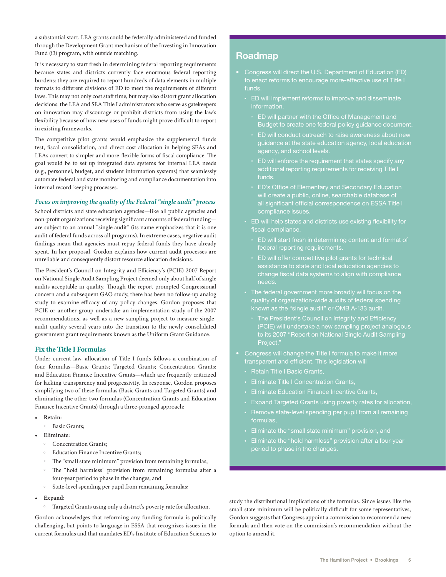a substantial start. LEA grants could be federally administered and funded through the Development Grant mechanism of the Investing in Innovation Fund (i3) program, with outside matching.

It is necessary to start fresh in determining federal reporting requirements because states and districts currently face enormous federal reporting burdens: they are required to report hundreds of data elements in multiple formats to different divisions of ED to meet the requirements of different laws. This may not only cost staff time, but may also distort grant allocation decisions: the LEA and SEA Title I administrators who serve as gatekeepers on innovation may discourage or prohibit districts from using the law's flexibility because of how new uses of funds might prove difficult to report in existing frameworks.

The competitive pilot grants would emphasize the supplemental funds test, fiscal consolidation, and direct cost allocation in helping SEAs and LEAs convert to simpler and more-flexible forms of fiscal compliance. The goal would be to set up integrated data systems for internal LEA needs (e.g., personnel, budget, and student information systems) that seamlessly automate federal and state monitoring and compliance documentation into internal record-keeping processes.

#### *Focus on improving the quality of the Federal "single audit" process*

School districts and state education agencies—like all public agencies and non-profit organizations receiving significant amounts of federal funding are subject to an annual "single audit" (its name emphasizes that it is one audit of federal funds across all programs). In extreme cases, negative audit findings mean that agencies must repay federal funds they have already spent. In her proposal, Gordon explains how current audit processes are unreliable and consequently distort resource allocation decisions.

The President's Council on Integrity and Efficiency's (PCIE) 2007 Report on National Single Audit Sampling Project deemed only about half of single audits acceptable in quality. Though the report prompted Congressional concern and a subsequent GAO study, there has been no follow-up analog study to examine efficacy of any policy changes. Gordon proposes that PCIE or another group undertake an implementation study of the 2007 recommendations, as well as a new sampling project to measure singleaudit quality several years into the transition to the newly consolidated government grant requirements known as the Uniform Grant Guidance.

#### **Fix the Title I Formulas**

Under current law, allocation of Title I funds follows a combination of four formulas—Basic Grants; Targeted Grants; Concentration Grants; and Education Finance Incentive Grants—which are frequently criticized for lacking transparency and progressivity. In response, Gordon proposes simplifying two of these formulas (Basic Grants and Targeted Grants) and eliminating the other two formulas (Concentration Grants and Education Finance Incentive Grants) through a three-pronged approach:

- **• Retain:**
	- <sup>o</sup> Basic Grants;
- **• Eliminate:**
	- <sup>o</sup> Concentration Grants:
	- Education Finance Incentive Grants;
	- The "small state minimum" provision from remaining formulas;
	- The "hold harmless" provision from remaining formulas after a four-year period to phase in the changes; and
	- State-level spending per pupil from remaining formulas;
- **• Expand:**
	- Targeted Grants using only a district's poverty rate for allocation.

Gordon acknowledges that reforming any funding formula is politically challenging, but points to language in ESSA that recognizes issues in the current formulas and that mandates ED's Institute of Education Sciences to

### Roadmap

- Congress will direct the U.S. Department of Education (ED) to enact reforms to encourage more-effective use of Title I
	- ED will implement reforms to improve and disseminate information.
		- ED will partner with the Office of Management and Budget to create one federal policy guidance document.
		- guidance at the state education agency, local education agency, and school levels.
		- additional reporting requirements for receiving Title I funds.
		- ED's Office of Elementary and Secondary Education all significant official correspondence on ESSA Title I compliance issues.
	- ED will help states and districts use existing flexibility for fiscal compliance.
		- ED will start fresh in determining content and format of federal reporting requirements.
		- assistance to state and local education agencies to change fiscal data systems to align with compliance needs.
	- The federal government more broadly will focus on the known as the "single audit" or OMB A-133 audit.
		- The President's Council on Integrity and Efficiency (PCIE) will undertake a new sampling project analogous to its 2007 "Report on National Single Audit Sampling Project."
- Congress will change the Title I formula to make it more transparent and efficient. This legislation will
	- Retain Title I Basic Grants,
	- Eliminate Title I Concentration Grants,
	- Eliminate Education Finance Incentive Grants,
	- Expand Targeted Grants using poverty rates for allocation,
	- Remove state-level spending per pupil from all remaining formulas,
	-
	- period to phase in the changes.

study the distributional implications of the formulas. Since issues like the small state minimum will be politically difficult for some representatives, Gordon suggests that Congress appoint a commission to recommend a new formula and then vote on the commission's recommendation without the option to amend it.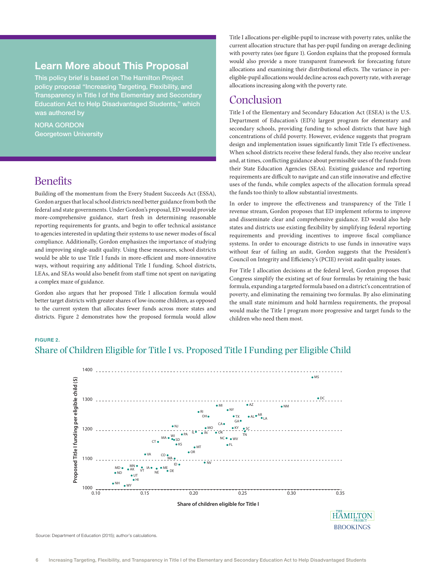## Learn More about This Proposal

This policy brief is based on The Hamilton Project policy proposal "Increasing Targeting, Flexibility, and Transparency in Title I of the Elementary and Secondary Education Act to Help Disadvantaged Students," which was authored by

#### NORA GORDON Georgetown University

# **Benefits**

Building off the momentum from the Every Student Succeeds Act (ESSA), Gordon argues that local school districts need better guidance from both the federal and state governments. Under Gordon's proposal, ED would provide more-comprehensive guidance, start fresh in determining reasonable reporting requirements for grants, and begin to offer technical assistance to agencies interested in updating their systems to use newer modes of fiscal compliance. Additionally, Gordon emphasizes the importance of studying and improving single-audit quality. Using these measures, school districts would be able to use Title I funds in more-efficient and more-innovative ways, without requiring any additional Title I funding. School districts, LEAs, and SEAs would also benefit from staff time not spent on navigating a complex maze of guidance.

Gordon also argues that her proposed Title I allocation formula would better target districts with greater shares of low-income children, as opposed to the current system that allocates fewer funds across more states and districts. Figure 2 demonstrates how the proposed formula would allow Title I allocations per-eligible-pupil to increase with poverty rates, unlike the current allocation structure that has per-pupil funding on average declining with poverty rates (see figure 1). Gordon explains that the proposed formula would also provide a more transparent framework for forecasting future allocations and examining their distributional effects. The variance in pereligible-pupil allocations would decline across each poverty rate, with average allocations increasing along with the poverty rate.

## Conclusion

Title I of the Elementary and Secondary Education Act (ESEA) is the U.S. Department of Education's (ED's) largest program for elementary and secondary schools, providing funding to school districts that have high concentrations of child poverty. However, evidence suggests that program design and implementation issues significantly limit Title I's effectiveness. When school districts receive these federal funds, they also receive unclear and, at times, conflicting guidance about permissible uses of the funds from their State Education Agencies (SEAs). Existing guidance and reporting requirements are difficult to navigate and can stifle innovative and effective uses of the funds, while complex aspects of the allocation formula spread the funds too thinly to allow substantial investments.

In order to improve the effectiveness and transparency of the Title I revenue stream, Gordon proposes that ED implement reforms to improve and disseminate clear and comprehensive guidance. ED would also help states and districts use existing flexibility by simplifying federal reporting requirements and providing incentives to improve fiscal compliance systems. In order to encourage districts to use funds in innovative ways without fear of failing an audit, Gordon suggests that the President's Council on Integrity and Efficiency's (PCIE) revisit audit quality issues.

For Title I allocation decisions at the federal level, Gordon proposes that Congress simplify the existing set of four formulas by retaining the basic formula, expanding a targeted formula based on a district's concentration of poverty, and eliminating the remaining two formulas. By also eliminating the small state minimum and hold harmless requirements, the proposal would make the Title I program more progressive and target funds to the children who need them most.

## FIGURE 2. Share of Children Eligible for Title I vs. Proposed Title I Funding per Eligible Child



Source: Department of Education (2015); author's calculations.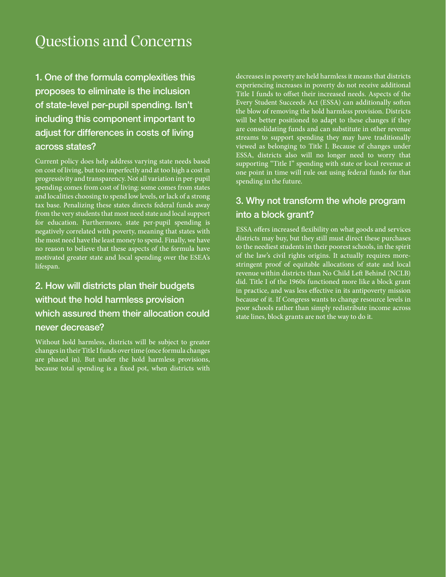# Questions and Concerns

1. One of the formula complexities this proposes to eliminate is the inclusion of state-level per-pupil spending. Isn't including this component important to adjust for differences in costs of living across states?

Current policy does help address varying state needs based on cost of living, but too imperfectly and at too high a cost in progressivity and transparency. Not all variation in per-pupil spending comes from cost of living: some comes from states and localities choosing to spend low levels, or lack of a strong tax base. Penalizing these states directs federal funds away from the very students that most need state and local support for education. Furthermore, state per-pupil spending is negatively correlated with poverty, meaning that states with the most need have the least money to spend. Finally, we have no reason to believe that these aspects of the formula have motivated greater state and local spending over the ESEA's lifespan.

# 2. How will districts plan their budgets without the hold harmless provision which assured them their allocation could never decrease?

Without hold harmless, districts will be subject to greater changes in their Title I funds over time (once formula changes are phased in). But under the hold harmless provisions, because total spending is a fixed pot, when districts with decreases in poverty are held harmless it means that districts experiencing increases in poverty do not receive additional Title I funds to offset their increased needs. Aspects of the Every Student Succeeds Act (ESSA) can additionally soften the blow of removing the hold harmless provision. Districts will be better positioned to adapt to these changes if they are consolidating funds and can substitute in other revenue streams to support spending they may have traditionally viewed as belonging to Title I. Because of changes under ESSA, districts also will no longer need to worry that supporting "Title I" spending with state or local revenue at one point in time will rule out using federal funds for that spending in the future.

# 3. Why not transform the whole program into a block grant?

ESSA offers increased flexibility on what goods and services districts may buy, but they still must direct these purchases to the neediest students in their poorest schools, in the spirit of the law's civil rights origins. It actually requires morestringent proof of equitable allocations of state and local revenue within districts than No Child Left Behind (NCLB) did. Title I of the 1960s functioned more like a block grant in practice, and was less effective in its antipoverty mission because of it. If Congress wants to change resource levels in poor schools rather than simply redistribute income across state lines, block grants are not the way to do it.